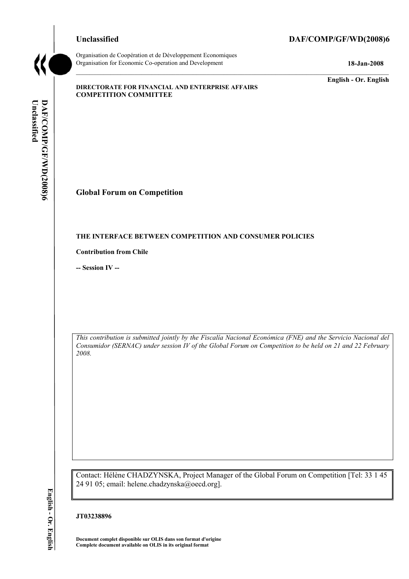## **Unclassified DAF/COMP/GF/WD(2008)6**



Organisation de CoopÈration et de DÈveloppement Economiques Organisation for Economic Co-operation and Development **18-Jan-2008** 

**English - Or. English** 

#### **DIRECTORATE FOR FINANCIAL AND ENTERPRISE AFFAIRS COMPETITION COMMITTEE**

# **Global Forum on Competition**

#### **THE INTERFACE BETWEEN COMPETITION AND CONSUMER POLICIES**

**Contribution from Chile** 

**-- Session IV --** 

*This contribution is submitted jointly by the Fiscalía Nacional Económica (FNE) and the Servicio Nacional del Consumidor (SERNAC) under session IV of the Global Forum on Competition to be held on 21 and 22 February 2008.* 

Contact: Hélène CHADZYNSKA, Project Manager of the Global Forum on Competition [Tel: 33 1 45 24 91 05; email: helene.chadzynska@oecd.org].

#### **JT03238896**

**Document complet disponible sur OLIS dans son format d'origine Complete document available on OLIS in its original format** 

English - Or. English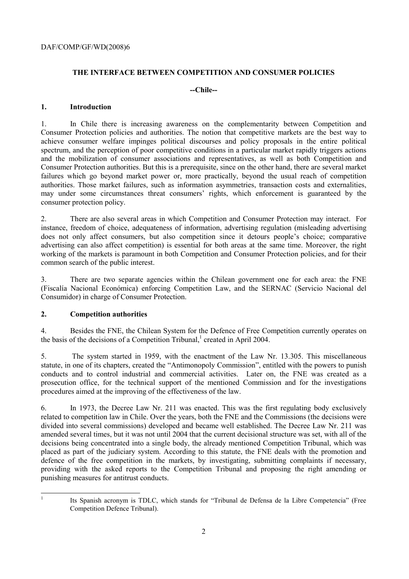# **THE INTERFACE BETWEEN COMPETITION AND CONSUMER POLICIES**

# **--Chile--**

## **1. Introduction**

1. In Chile there is increasing awareness on the complementarity between Competition and Consumer Protection policies and authorities. The notion that competitive markets are the best way to achieve consumer welfare impinges political discourses and policy proposals in the entire political spectrum, and the perception of poor competitive conditions in a particular market rapidly triggers actions and the mobilization of consumer associations and representatives, as well as both Competition and Consumer Protection authorities. But this is a prerequisite, since on the other hand, there are several market failures which go beyond market power or, more practically, beyond the usual reach of competition authorities. Those market failures, such as information asymmetries, transaction costs and externalities, may under some circumstances threat consumers' rights, which enforcement is guaranteed by the consumer protection policy.

2. There are also several areas in which Competition and Consumer Protection may interact. For instance, freedom of choice, adequateness of information, advertising regulation (misleading advertising does not only affect consumers, but also competition since it detours people's choice; comparative advertising can also affect competition) is essential for both areas at the same time. Moreover, the right working of the markets is paramount in both Competition and Consumer Protection policies, and for their common search of the public interest.

3. There are two separate agencies within the Chilean government one for each area: the FNE (Fiscalía Nacional Económica) enforcing Competition Law, and the SERNAC (Servicio Nacional del Consumidor) in charge of Consumer Protection.

# **2. Competition authorities**

4. Besides the FNE, the Chilean System for the Defence of Free Competition currently operates on the basis of the decisions of a Competition Tribunal, $^1$  created in April 2004.

5. The system started in 1959, with the enactment of the Law Nr. 13.305. This miscellaneous statute, in one of its chapters, created the "Antimonopoly Commission", entitled with the powers to punish conducts and to control industrial and commercial activities. Later on, the FNE was created as a prosecution office, for the technical support of the mentioned Commission and for the investigations procedures aimed at the improving of the effectiveness of the law.

6. In 1973, the Decree Law Nr. 211 was enacted. This was the first regulating body exclusively related to competition law in Chile. Over the years, both the FNE and the Commissions (the decisions were divided into several commissions) developed and became well established. The Decree Law Nr. 211 was amended several times, but it was not until 2004 that the current decisional structure was set, with all of the decisions being concentrated into a single body, the already mentioned Competition Tribunal, which was placed as part of the judiciary system. According to this statute, the FNE deals with the promotion and defence of the free competition in the markets, by investigating, submitting complaints if necessary, providing with the asked reports to the Competition Tribunal and proposing the right amending or punishing measures for antitrust conducts.

|<br>|<br>|

Its Spanish acronym is TDLC, which stands for "Tribunal de Defensa de la Libre Competencia" (Free Competition Defence Tribunal).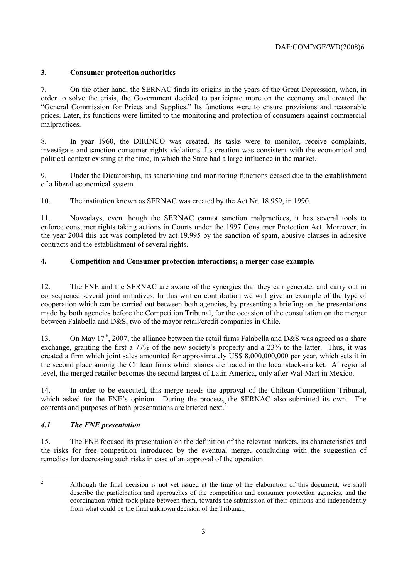# **3. Consumer protection authorities**

7. On the other hand, the SERNAC finds its origins in the years of the Great Depression, when, in order to solve the crisis, the Government decided to participate more on the economy and created the ìGeneral Commission for Prices and Supplies.î Its functions were to ensure provisions and reasonable prices. Later, its functions were limited to the monitoring and protection of consumers against commercial malpractices.

8. In year 1960, the DIRINCO was created. Its tasks were to monitor, receive complaints, investigate and sanction consumer rights violations. Its creation was consistent with the economical and political context existing at the time, in which the State had a large influence in the market.

9. Under the Dictatorship, its sanctioning and monitoring functions ceased due to the establishment of a liberal economical system.

10. The institution known as SERNAC was created by the Act Nr. 18.959, in 1990.

11. Nowadays, even though the SERNAC cannot sanction malpractices, it has several tools to enforce consumer rights taking actions in Courts under the 1997 Consumer Protection Act. Moreover, in the year 2004 this act was completed by act 19.995 by the sanction of spam, abusive clauses in adhesive contracts and the establishment of several rights.

# **4. Competition and Consumer protection interactions; a merger case example.**

12. The FNE and the SERNAC are aware of the synergies that they can generate, and carry out in consequence several joint initiatives. In this written contribution we will give an example of the type of cooperation which can be carried out between both agencies, by presenting a briefing on the presentations made by both agencies before the Competition Tribunal, for the occasion of the consultation on the merger between Falabella and D&S, two of the mayor retail/credit companies in Chile.

13. On May 17<sup>th</sup>, 2007, the alliance between the retail firms Falabella and D&S was agreed as a share exchange, granting the first a 77% of the new society's property and a 23% to the latter. Thus, it was created a firm which joint sales amounted for approximately US\$ 8,000,000,000 per year, which sets it in the second place among the Chilean firms which shares are traded in the local stock-market. At regional level, the merged retailer becomes the second largest of Latin America, only after Wal-Mart in Mexico.

14. In order to be executed, this merge needs the approval of the Chilean Competition Tribunal, which asked for the FNE's opinion. During the process, the SERNAC also submitted its own. The contents and purposes of both presentations are briefed next.<sup>2</sup>

# *4.1 The FNE presentation*

15. The FNE focused its presentation on the definition of the relevant markets, its characteristics and the risks for free competition introduced by the eventual merge, concluding with the suggestion of remedies for decreasing such risks in case of an approval of the operation.

 $\frac{1}{2}$  Although the final decision is not yet issued at the time of the elaboration of this document, we shall describe the participation and approaches of the competition and consumer protection agencies, and the coordination which took place between them, towards the submission of their opinions and independently from what could be the final unknown decision of the Tribunal.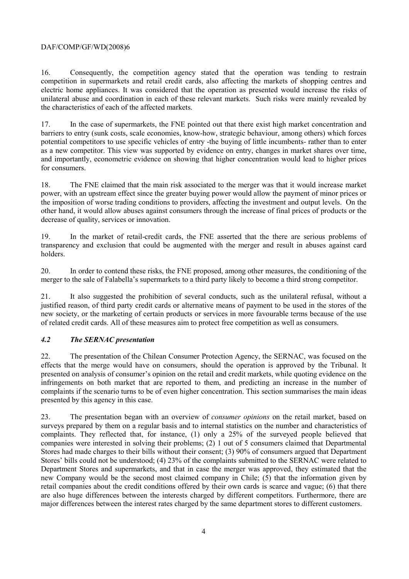## DAF/COMP/GF/WD(2008)6

16. Consequently, the competition agency stated that the operation was tending to restrain competition in supermarkets and retail credit cards, also affecting the markets of shopping centres and electric home appliances. It was considered that the operation as presented would increase the risks of unilateral abuse and coordination in each of these relevant markets. Such risks were mainly revealed by the characteristics of each of the affected markets.

17. In the case of supermarkets, the FNE pointed out that there exist high market concentration and barriers to entry (sunk costs, scale economies, know-how, strategic behaviour, among others) which forces potential competitors to use specific vehicles of entry -the buying of little incumbents- rather than to enter as a new competitor. This view was supported by evidence on entry, changes in market shares over time, and importantly, econometric evidence on showing that higher concentration would lead to higher prices for consumers.

18. The FNE claimed that the main risk associated to the merger was that it would increase market power, with an upstream effect since the greater buying power would allow the payment of minor prices or the imposition of worse trading conditions to providers, affecting the investment and output levels. On the other hand, it would allow abuses against consumers through the increase of final prices of products or the decrease of quality, services or innovation.

19. In the market of retail-credit cards, the FNE asserted that the there are serious problems of transparency and exclusion that could be augmented with the merger and result in abuses against card holders.

20. In order to contend these risks, the FNE proposed, among other measures, the conditioning of the merger to the sale of Falabellaís supermarkets to a third party likely to become a third strong competitor.

21. It also suggested the prohibition of several conducts, such as the unilateral refusal, without a justified reason, of third party credit cards or alternative means of payment to be used in the stores of the new society, or the marketing of certain products or services in more favourable terms because of the use of related credit cards. All of these measures aim to protect free competition as well as consumers.

#### *4.2 The SERNAC presentation*

22. The presentation of the Chilean Consumer Protection Agency, the SERNAC, was focused on the effects that the merge would have on consumers, should the operation is approved by the Tribunal. It presented on analysis of consumer's opinion on the retail and credit markets, while quoting evidence on the infringements on both market that are reported to them, and predicting an increase in the number of complaints if the scenario turns to be of even higher concentration. This section summarises the main ideas presented by this agency in this case.

23. The presentation began with an overview of *consumer opinions* on the retail market, based on surveys prepared by them on a regular basis and to internal statistics on the number and characteristics of complaints. They reflected that, for instance, (1) only a 25% of the surveyed people believed that companies were interested in solving their problems; (2) 1 out of 5 consumers claimed that Departmental Stores had made charges to their bills without their consent; (3) 90% of consumers argued that Department Stores' bills could not be understood; (4) 23% of the complaints submitted to the SERNAC were related to Department Stores and supermarkets, and that in case the merger was approved, they estimated that the new Company would be the second most claimed company in Chile; (5) that the information given by retail companies about the credit conditions offered by their own cards is scarce and vague; (6) that there are also huge differences between the interests charged by different competitors. Furthermore, there are major differences between the interest rates charged by the same department stores to different customers.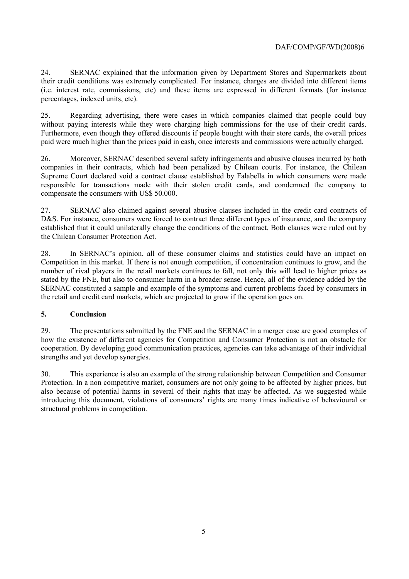24. SERNAC explained that the information given by Department Stores and Supermarkets about their credit conditions was extremely complicated. For instance, charges are divided into different items (i.e. interest rate, commissions, etc) and these items are expressed in different formats (for instance percentages, indexed units, etc).

25. Regarding advertising, there were cases in which companies claimed that people could buy without paying interests while they were charging high commissions for the use of their credit cards. Furthermore, even though they offered discounts if people bought with their store cards, the overall prices paid were much higher than the prices paid in cash, once interests and commissions were actually charged.

26. Moreover, SERNAC described several safety infringements and abusive clauses incurred by both companies in their contracts, which had been penalized by Chilean courts. For instance, the Chilean Supreme Court declared void a contract clause established by Falabella in which consumers were made responsible for transactions made with their stolen credit cards, and condemned the company to compensate the consumers with US\$ 50.000.

27. SERNAC also claimed against several abusive clauses included in the credit card contracts of D&S. For instance, consumers were forced to contract three different types of insurance, and the company established that it could unilaterally change the conditions of the contract. Both clauses were ruled out by the Chilean Consumer Protection Act.

28. In SERNAC's opinion, all of these consumer claims and statistics could have an impact on Competition in this market. If there is not enough competition, if concentration continues to grow, and the number of rival players in the retail markets continues to fall, not only this will lead to higher prices as stated by the FNE, but also to consumer harm in a broader sense. Hence, all of the evidence added by the SERNAC constituted a sample and example of the symptoms and current problems faced by consumers in the retail and credit card markets, which are projected to grow if the operation goes on.

# **5. Conclusion**

29. The presentations submitted by the FNE and the SERNAC in a merger case are good examples of how the existence of different agencies for Competition and Consumer Protection is not an obstacle for cooperation. By developing good communication practices, agencies can take advantage of their individual strengths and yet develop synergies.

30. This experience is also an example of the strong relationship between Competition and Consumer Protection. In a non competitive market, consumers are not only going to be affected by higher prices, but also because of potential harms in several of their rights that may be affected. As we suggested while introducing this document, violations of consumers' rights are many times indicative of behavioural or structural problems in competition.